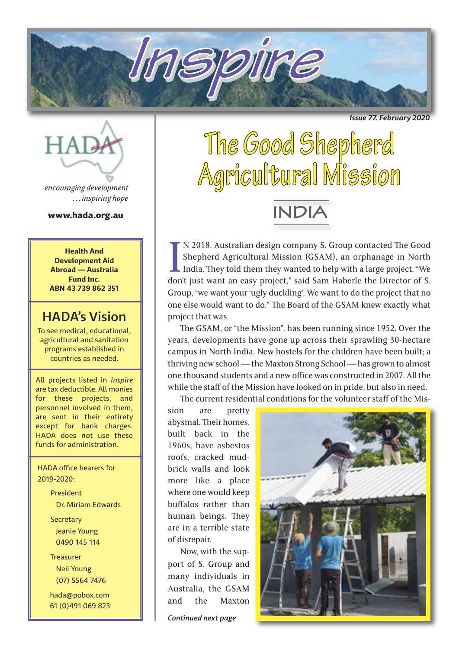*Issue 77. February 2020*



*encouraging development . . . inspiring hope*

www.hada.org.au

**Health And Development Aid Abroad — Australia Fund Inc. ABN 43 739 862 351**

### HADA's Vision

To see medical, educational, agricultural and sanitation programs established in countries as needed.

All projects listed in *Inspire* are tax deductible. All monies for these projects, and personnel involved in them, are sent in their entirety except for bank charges. HADA does not use these funds for administration.

 HADA office bearers for 2019-2020:

> President Dr. Miriam Edwards Secretary Jeanie Young 0490 145 114

**Treasurer**  Neil Young (07) 5564 7476

 hada@pobox.com 61 (0)491 069 823

# **The Good Shepherd Agricultural Mission**

**Inspire**

**INDIA**

IN 2018, Australian design company S. Group contacted The Good Shepherd Agricultural Mission (GSAM), an orphanage in North India. They told them they wanted to help with a large project. "We don't just want an easy project N 2018, Australian design company S. Group contacted The Good Shepherd Agricultural Mission (GSAM), an orphanage in North India. They told them they wanted to help with a large project. "We Group, "we want your 'ugly duckling'. We want to do the project that no one else would want to do." The Board of the GSAM knew exactly what project that was.

The GSAM, or "the Mission", has been running since 1952. Over the years, developments have gone up across their sprawling 30-hectare campus in North India. New hostels for the children have been built; a thriving new school — the Maxton Strong School — has grown to almost one thousand students and a new office was constructed in 2007. All the while the staff of the Mission have looked on in pride, but also in need.

The current residential conditions for the volunteer staff of the Mis-

sion are pretty abysmal. Their homes, built back in the 1960s, have asbestos roofs, cracked mudbrick walls and look more like a place where one would keep buffalos rather than human beings. They are in a terrible state of disrepair.

Now, with the support of S. Group and many individuals in Australia, the GSAM and the Maxton

*Continued next page*

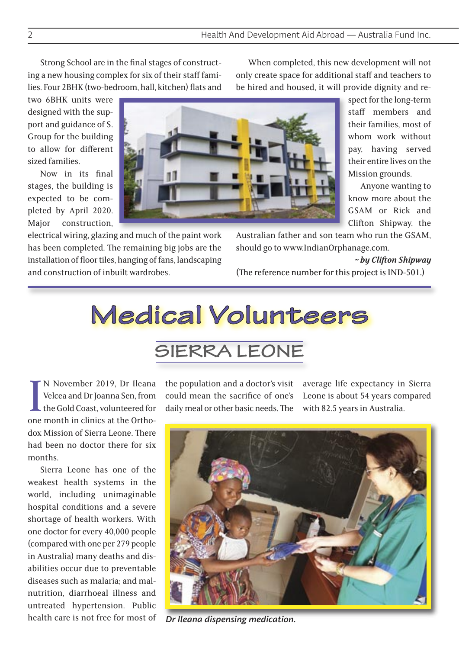Strong School are in the final stages of constructing a new housing complex for six of their staff families. Four 2BHK (two-bedroom, hall, kitchen) flats and

two 6BHK units were designed with the support and guidance of S. Group for the building to allow for different sized families.

Now in its final stages, the building is expected to be completed by April 2020. Major construction,

electrical wiring, glazing and much of the paint work has been completed. The remaining big jobs are the installation of floor tiles, hanging of fans, landscaping and construction of inbuilt wardrobes.

When completed, this new development will not only create space for additional staff and teachers to be hired and housed, it will provide dignity and re-

> spect for the long-term staff members and their families, most of whom work without pay, having served their entire lives on the Mission grounds.

Anyone wanting to know more about the GSAM or Rick and Clifton Shipway, the

Australian father and son team who run the GSAM, should go to www.IndianOrphanage.com.

*~ by Clifton Shipway*

(The reference number for this project is IND-501.)

# **Medical Volunteers**

# **SIERRA LEONE**

IN November 2019, Dr Ileana<br>Velcea and Dr Joanna Sen, from<br>the Gold Coast, volunteered for<br>one month in clinics at the Ortho-N November 2019, Dr Ileana Velcea and Dr Joanna Sen, from the Gold Coast, volunteered for dox Mission of Sierra Leone. There had been no doctor there for six months.

Sierra Leone has one of the weakest health systems in the world, including unimaginable hospital conditions and a severe shortage of health workers. With one doctor for every 40,000 people (compared with one per 279 people in Australia) many deaths and disabilities occur due to preventable diseases such as malaria; and malnutrition, diarrhoeal illness and untreated hypertension. Public health care is not free for most of the population and a doctor's visit could mean the sacrifice of one's daily meal or other basic needs. The

average life expectancy in Sierra Leone is about 54 years compared with 82.5 years in Australia.



*Dr Ileana dispensing medication.*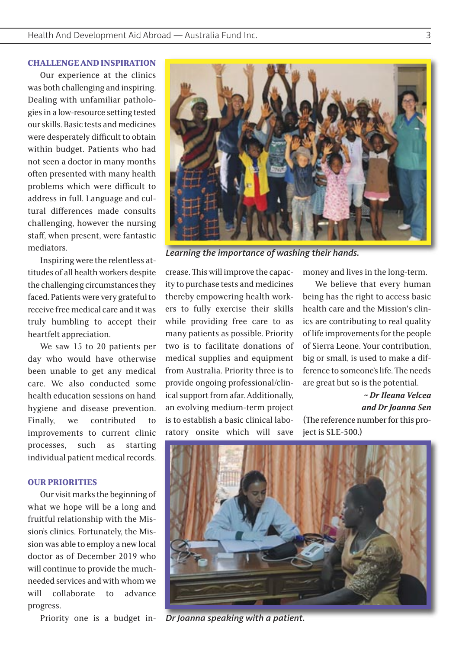#### **CHALLENGE AND INSPIRATION**

Our experience at the clinics was both challenging and inspiring. Dealing with unfamiliar pathologies in a low-resource setting tested our skills. Basic tests and medicines were desperately difficult to obtain within budget. Patients who had not seen a doctor in many months often presented with many health problems which were difficult to address in full. Language and cultural differences made consults challenging, however the nursing staff, when present, were fantastic mediators.

Inspiring were the relentless attitudes of all health workers despite the challenging circumstances they faced. Patients were very grateful to receive free medical care and it was truly humbling to accept their heartfelt appreciation.

We saw 15 to 20 patients per day who would have otherwise been unable to get any medical care. We also conducted some health education sessions on hand hygiene and disease prevention. Finally, we contributed to improvements to current clinic processes, such as starting individual patient medical records.

#### **OUR PRIORITIES**

Our visit marks the beginning of what we hope will be a long and fruitful relationship with the Mission's clinics. Fortunately, the Mission was able to employ a new local doctor as of December 2019 who will continue to provide the muchneeded services and with whom we will collaborate to advance progress.

Priority one is a budget in-

crease. This will improve the capacity to purchase tests and medicines thereby empowering health workers to fully exercise their skills while providing free care to as many patients as possible. Priority two is to facilitate donations of

medical supplies and equipment from Australia. Priority three is to provide ongoing professional/clinical support from afar. Additionally, an evolving medium-term project is to establish a basic clinical laboratory onsite which will save

money and lives in the long-term.

We believe that every human being has the right to access basic health care and the Mission's clinics are contributing to real quality of life improvements for the people of Sierra Leone. Your contribution, big or small, is used to make a difference to someone's life. The needs are great but so is the potential.

#### *~ Dr Ileana Velcea and Dr Joanna Sen*

(The reference number for this project is SLE-500.)



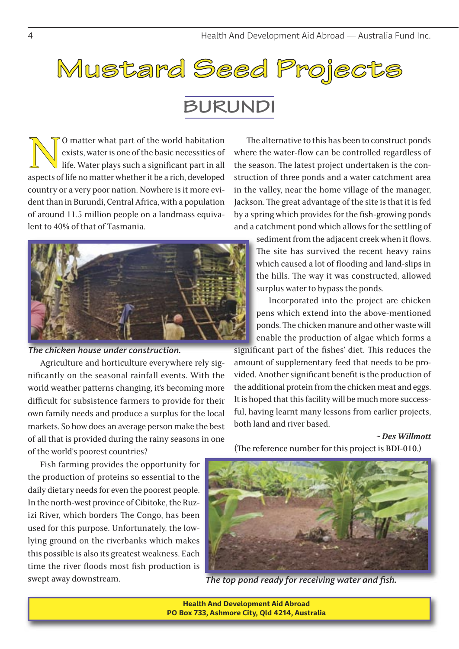# **Mustard Seed Projects**

# **BURUNDI**

O matter what part of the world habitation exists, water is one of the basic necessities of life. Water plays such a significant part in all aspects of life no matter whether it be a rich, developed exists, water is one of the basic necessities of life. Water plays such a significant part in all country or a very poor nation. Nowhere is it more evident than in Burundi, Central Africa, with a population of around 11.5 million people on a landmass equivalent to 40% of that of Tasmania.



*The chicken house under construction.*

Agriculture and horticulture everywhere rely significantly on the seasonal rainfall events. With the world weather patterns changing, it's becoming more difficult for subsistence farmers to provide for their own family needs and produce a surplus for the local markets. So how does an average person make the best of all that is provided during the rainy seasons in one of the world's poorest countries?

Fish farming provides the opportunity for the production of proteins so essential to the daily dietary needs for even the poorest people. In the north-west province of Cibitoke, the Ruzizi River, which borders The Congo, has been used for this purpose. Unfortunately, the lowlying ground on the riverbanks which makes this possible is also its greatest weakness. Each time the river floods most fish production is swept away downstream.

The alternative to this has been to construct ponds where the water-flow can be controlled regardless of the season. The latest project undertaken is the construction of three ponds and a water catchment area in the valley, near the home village of the manager, Jackson. The great advantage of the site is that it is fed by a spring which provides for the fish-growing ponds and a catchment pond which allows for the settling of

> sediment from the adjacent creek when it flows. The site has survived the recent heavy rains which caused a lot of flooding and land-slips in the hills. The way it was constructed, allowed surplus water to bypass the ponds.

> Incorporated into the project are chicken pens which extend into the above-mentioned ponds. The chicken manure and other waste will enable the production of algae which forms a

significant part of the fishes' diet. This reduces the amount of supplementary feed that needs to be provided. Another significant benefit is the production of the additional protein from the chicken meat and eggs. It is hoped that this facility will be much more successful, having learnt many lessons from earlier projects, both land and river based.

#### *~ Des Willmott*

(The reference number for this project is BDI-010.)



*The top pond ready for receiving water and fish.*

**Health And Development Aid Abroad PO Box 733, Ashmore City, Qld 4214, Australia**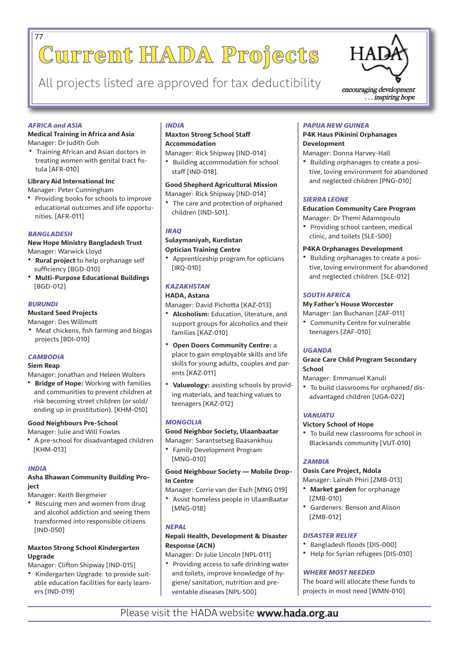# **Current HADA Projects** 77

All projects listed are approved for tax deductibility encouraging development



... inspiring hope

#### *AFRICA and ASIA*

#### **Medical Training in Africa and Asia** Manager: Dr Judith Goh

• Training African and Asian doctors in treating women with genital tract fistula [AFR-010]

#### **Library Aid International Inc**

Manager: Peter Cunningham

• Providing books for schools to improve educational outcomes and life opportunities. [AFR-011]

#### *BANGLADESH*

**New Hope Ministry Bangladesh Trust** Manager: Warwick Lloyd

- **Rural project** to help orphanage self sufficiency [BGD-010]
- **Multi-Purpose Educational Buildings** [BGD-012]

#### *BURUNDI*

#### **Mustard Seed Projects**

- Manager: Des Willmott
- Meat chickens, fish farming and biogas projects [BDI-010]

#### *CAMBODIA*

#### **Siem Reap**

Manager: Jonathan and Heleen Wolters

• **Bridge of Hope:** Working with families and communities to prevent children at risk becoming street children (or sold/ ending up in prostitution). [KHM-010]

#### **Good Neighbours Pre-School**

Manager: Julie and Will Fowles

• A pre-school for disadvantaged children [KHM-013]

#### *INDIA*

#### **Asha Bhawan Community Building Project**

Manager: Keith Bergmeier

• Rescuing men and women from drug and alcohol addiction and seeing them transformed into responsible citizens [IND-050]

#### **Maxton Strong School Kindergarten Upgrade**

Manager: Clifton Shipway [IND-015]

• Kindergarten Upgrade: to provide suitable education facilities for early learners [IND-019]

#### *INDIA*

#### **Maxton Strong School Staff Accommodation**

- Manager: Rick Shipway [IND-014] • Building accommodation for school
- staff [IND-018].

#### **Good Shepherd Agricultural Mission**

Manager: Rick Shipway [IND-014]

• The care and protection of orphaned children [IND-501].

#### *IRAQ*

#### **Sulaymaniyah, Kurdistan Optician Training Centre**

• Apprenticeship program for opticians [IRQ-010]

#### *KAZAKHSTAN*

#### **HADA, Astana**

Manager: David Pichotta [KAZ-013]

- **Alcoholism:** Education, literature, and support groups for alcoholics and their families [KAZ-010]
- **Open Doors Community Centre:** a place to gain employable skills and life skills for young adults, couples and parents [KAZ-011]
- **Valueology:** assisting schools by providing materials, and teaching values to teenagers [KAZ-012]

#### *MONGOLIA*

#### **Good Neighbor Society, Ulaanbaatar**

- Manager: Sarantsetseg Baasankhuu • Family Development Program
- [MNG-010]

#### **Good Neighbour Society — Mobile Drop-In Centre**

Manager: Corrie van der Esch [MNG 019]

• Assist homeless people in UlaanBaatar [MNG-018]

#### *NEPAL*

#### **Nepali Health, Development & Disaster Response (ACN)**

Manager: Dr Julie Lincoln [NPL-011]

• Providing access to safe drinking water and toilets, improve knowledge of hygiene/ sanitation, nutrition and preventable diseases [NPL-500]

#### *PAPUA NEW GUINEA*

#### **P4K Haus Pikinini Orphanages Development**

Manager: Donna Harvey-Hall

• Building orphanages to create a positive, loving environment for abandoned and neglected children [PNG-010]

#### *SIERRA LEONE*

#### **Education Community Care Program**

Manager: Dr Themi Adamopoulo

• Providing school canteen, medical clinic, and toilets [SLE-500]

#### **P4KA Orphanages Development**

• Building orphanages to create a positive, loving environment for abandoned and neglected children. [SLE-012]

#### *SOUTH AFRICA*

#### **My Father's House Worcester**

Manager: Jan Buchanan [ZAF-011] • Community Centre for vulnerable teenagers [ZAF-010]

#### *UGANDA*

#### **Grace Care Child Program Secondary School**

Manager: Emmanuel Kanuli

• To build classrooms for orphaned/ disadvantaged children [UGA-022]

#### *VANUATU*

#### **Victory School of Hope**

• To build new classrooms for school in Blacksands community [VUT-010]

#### *ZAMBIA*

#### **Oasis Care Project, Ndola**

Manager: Lainah Phiri [ZMB-013]

- **Market garden** for orphanage [ZMB-010]
- Gardeners: Benson and Alison [ZMB-012]

#### *DISASTER RELIEF*

- Bangladesh floods [DIS-000]
- Help for Syrian refugees [DIS-010]

#### *WHERE MOST NEEDED*

The board will allocate these funds to projects in most need [WMN-010]